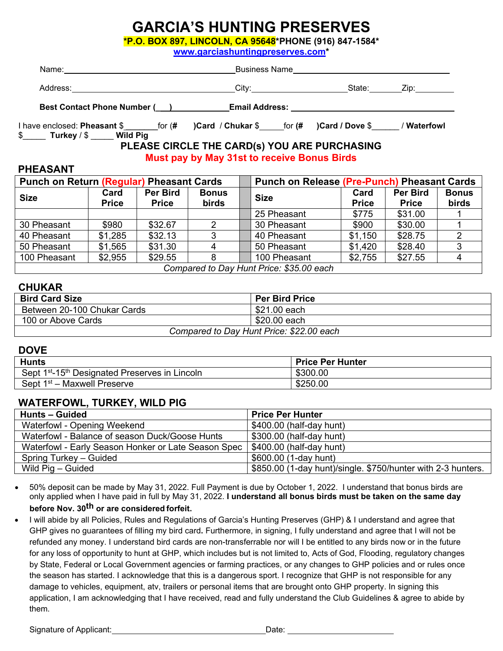# **GARCIA'S HUNTING PRESERVES**

**\*P.O. BOX 897, LINCOLN, CA 95648\*PHONE (916) 847-1584\*** 

**[www.garciashuntingpreserves.com\\*](http://www.garciashuntingpreserves.com/)**

| Name: <u>_______________________________</u>                                                                          |                                                    |                                         |  |
|-----------------------------------------------------------------------------------------------------------------------|----------------------------------------------------|-----------------------------------------|--|
|                                                                                                                       |                                                    |                                         |  |
| Best Contact Phone Number (___)_____________Email Address: _____________________                                      |                                                    |                                         |  |
| I have enclosed: Pheasant \$ for (# ) Card / Chukar \$ for (# ) Card / Dove \$ / Waterfowl<br>\$ Turkey / \$ Wild Pig |                                                    |                                         |  |
|                                                                                                                       | PLEASE CIRCLE THE CARD(s) YOU ARE PURCHASING       |                                         |  |
|                                                                                                                       | <b>Must pay by May 31st to receive Bonus Birds</b> |                                         |  |
| <b>PHEASANT</b>                                                                                                       |                                                    |                                         |  |
| Punch on Return (Requilar) Pheasant Cards                                                                             |                                                    | Punch on Release (Pre-Punch) Pheasant C |  |

| <b>Punch on Return (Regular) Pheasant Cards</b> |                      |                          | <b>Punch on Release (Pre-Punch) Pheasant Cards</b> |  |              |                      |                                 |                       |
|-------------------------------------------------|----------------------|--------------------------|----------------------------------------------------|--|--------------|----------------------|---------------------------------|-----------------------|
| <b>Size</b>                                     | Card<br><b>Price</b> | Per Bird<br><b>Price</b> | <b>Bonus</b><br><b>birds</b>                       |  | <b>Size</b>  | Card<br><b>Price</b> | <b>Per Bird</b><br><b>Price</b> | <b>Bonus</b><br>birds |
|                                                 |                      |                          |                                                    |  | 25 Pheasant  | \$775                | \$31.00                         |                       |
| 30 Pheasant                                     | \$980                | \$32.67                  | 2                                                  |  | 30 Pheasant  | \$900                | \$30.00                         |                       |
| 40 Pheasant                                     | \$1,285              | \$32.13                  | 3                                                  |  | 40 Pheasant  | \$1,150              | \$28.75                         |                       |
| 50 Pheasant                                     | \$1,565              | \$31.30                  |                                                    |  | 50 Pheasant  | \$1,420              | \$28.40                         |                       |
| 100 Pheasant                                    | \$2,955              | \$29.55                  |                                                    |  | 100 Pheasant | \$2,755              | \$27.55                         | 4                     |
| Compared to Day Hunt Price: \$35.00 each        |                      |                          |                                                    |  |              |                      |                                 |                       |

#### **CHUKAR**

| <b>Bird Card Size</b>                    | <b>Per Bird Price</b> |  |
|------------------------------------------|-----------------------|--|
| Between 20-100 Chukar Cards              | \$21.00 each          |  |
| 100 or Above Cards                       | \$20.00 each          |  |
| Compared to Day Hunt Price: \$22.00 each |                       |  |

#### **DOVE**

| <b>Hunts</b>                                                           | <b>Price Per Hunter</b> |
|------------------------------------------------------------------------|-------------------------|
| Sept 1 <sup>st</sup> -15 <sup>th</sup> Designated Preserves in Lincoln | \$300.00                |
| Sept $1st$ – Maxwell Preserve                                          | \$250.00                |

#### **WATERFOWL, TURKEY, WILD PIG**

| <b>Hunts - Guided</b>                               | <b>Price Per Hunter</b>                                      |
|-----------------------------------------------------|--------------------------------------------------------------|
| Waterfowl - Opening Weekend                         | \$400.00 (half-day hunt)                                     |
| Waterfowl - Balance of season Duck/Goose Hunts      | \$300.00 (half-day hunt)                                     |
| Waterfowl - Early Season Honker or Late Season Spec | $\vert$ \$400.00 (half-day hunt)                             |
| Spring Turkey – Guided                              | \$600.00 (1-day hunt)                                        |
| Wild Pig – Guided                                   | \$850.00 (1-day hunt)/single. \$750/hunter with 2-3 hunters. |

- 50% deposit can be made by May 31, 2022. Full Payment is due by October 1, 2022. I understand that bonus birds are only applied when I have paid in full by May 31, 2022. **I understand all bonus birds must be taken on the same day before Nov. 30th or are considered forfeit.**
- I will abide by all Policies, Rules and Regulations of Garcia's Hunting Preserves (GHP) & I understand and agree that GHP gives no guarantees of filling my bird card**.** Furthermore, in signing, I fully understand and agree that I will not be refunded any money. I understand bird cards are non-transferrable nor will I be entitled to any birds now or in the future for any loss of opportunity to hunt at GHP, which includes but is not limited to, Acts of God, Flooding, regulatory changes by State, Federal or Local Government agencies or farming practices, or any changes to GHP policies and or rules once the season has started. I acknowledge that this is a dangerous sport. I recognize that GHP is not responsible for any damage to vehicles, equipment, atv, trailers or personal items that are brought onto GHP property. In signing this application, I am acknowledging that I have received, read and fully understand the Club Guidelines & agree to abide by them.

Signature of Applicant: Date: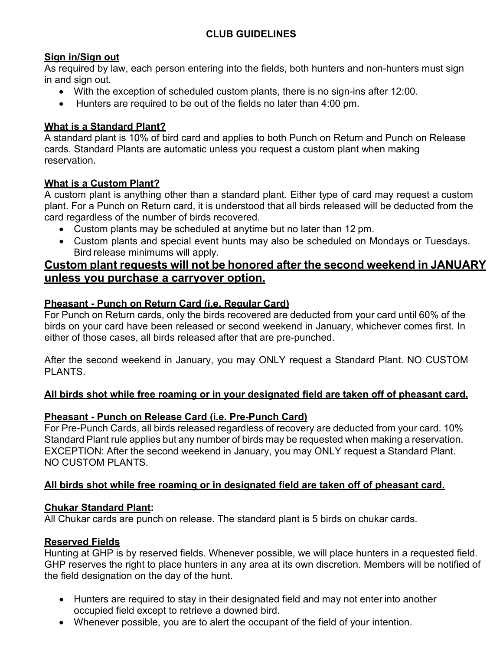## **CLUB GUIDELINES**

#### **Sign in/Sign out**

As required by law, each person entering into the fields, both hunters and non-hunters must sign in and sign out.

- With the exception of scheduled custom plants, there is no sign-ins after 12:00.
- Hunters are required to be out of the fields no later than 4:00 pm.

#### **What is a Standard Plant?**

A standard plant is 10% of bird card and applies to both Punch on Return and Punch on Release cards. Standard Plants are automatic unless you request a custom plant when making reservation.

#### **What is a Custom Plant?**

A custom plant is anything other than a standard plant. Either type of card may request a custom plant. For a Punch on Return card, it is understood that all birds released will be deducted from the card regardless of the number of birds recovered.

- Custom plants may be scheduled at anytime but no later than 12 pm.
- Custom plants and special event hunts may also be scheduled on Mondays or Tuesdays. Bird release minimums will apply.

## **Custom plant requests will not be honored after the second weekend in JANUARY unless you purchase a carryover option.**

#### **Pheasant - Punch on Return Card (i.e. Regular Card)**

For Punch on Return cards, only the birds recovered are deducted from your card until 60% of the birds on your card have been released or second weekend in January, whichever comes first. In either of those cases, all birds released after that are pre-punched.

After the second weekend in January, you may ONLY request a Standard Plant. NO CUSTOM PI ANTS

#### **All birds shot while free roaming or in your designated field are taken off of pheasant card.**

## **Pheasant - Punch on Release Card (i.e. Pre-Punch Card)**

For Pre-Punch Cards, all birds released regardless of recovery are deducted from your card. 10% Standard Plant rule applies but any number of birds may be requested when making a reservation. EXCEPTION: After the second weekend in January, you may ONLY request a Standard Plant. NO CUSTOM PLANTS.

## **All birds shot while free roaming or in designated field are taken off of pheasant card.**

#### **Chukar Standard Plant:**

All Chukar cards are punch on release. The standard plant is 5 birds on chukar cards.

#### **Reserved Fields**

Hunting at GHP is by reserved fields. Whenever possible, we will place hunters in a requested field. GHP reserves the right to place hunters in any area at its own discretion. Members will be notified of the field designation on the day of the hunt.

- Hunters are required to stay in their designated field and may not enter into another occupied field except to retrieve a downed bird.
- Whenever possible, you are to alert the occupant of the field of your intention.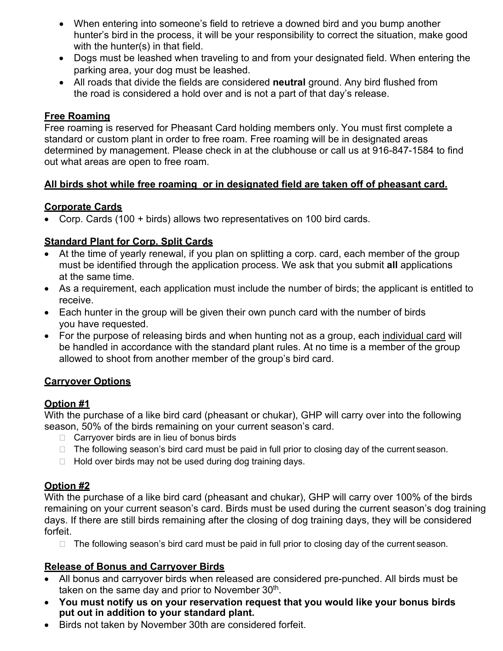- When entering into someone's field to retrieve a downed bird and you bump another hunter's bird in the process, it will be your responsibility to correct the situation, make good with the hunter(s) in that field.
- Dogs must be leashed when traveling to and from your designated field. When entering the parking area, your dog must be leashed.
- All roads that divide the fields are considered **neutral** ground. Any bird flushed from the road is considered a hold over and is not a part of that day's release.

#### **Free Roaming**

Free roaming is reserved for Pheasant Card holding members only. You must first complete a standard or custom plant in order to free roam. Free roaming will be in designated areas determined by management. Please check in at the clubhouse or call us at 916-847-1584 to find out what areas are open to free roam.

#### **All birds shot while free roaming or in designated field are taken off of pheasant card.**

#### **Corporate Cards**

• Corp. Cards (100 + birds) allows two representatives on 100 bird cards.

#### **Standard Plant for Corp. Split Cards**

- At the time of yearly renewal, if you plan on splitting a corp. card, each member of the group must be identified through the application process. We ask that you submit **all** applications at the same time.
- As a requirement, each application must include the number of birds; the applicant is entitled to receive.
- Each hunter in the group will be given their own punch card with the number of birds you have requested.
- For the purpose of releasing birds and when hunting not as a group, each individual card will be handled in accordance with the standard plant rules. At no time is a member of the group allowed to shoot from another member of the group's bird card.

#### **Carryover Options**

#### **Option #1**

With the purchase of a like bird card (pheasant or chukar), GHP will carry over into the following season, 50% of the birds remaining on your current season's card.

- $\Box$  Carryover birds are in lieu of bonus birds
- $\Box$  The following season's bird card must be paid in full prior to closing day of the current season.
- $\Box$  Hold over birds may not be used during dog training days.

#### **Option #2**

With the purchase of a like bird card (pheasant and chukar), GHP will carry over 100% of the birds remaining on your current season's card. Birds must be used during the current season's dog training days. If there are still birds remaining after the closing of dog training days, they will be considered forfeit.

 $\Box$  The following season's bird card must be paid in full prior to closing day of the current season.

#### **Release of Bonus and Carryover Birds**

- All bonus and carryover birds when released are considered pre-punched. All birds must be taken on the same day and prior to November  $30<sup>th</sup>$ .
- **You must notify us on your reservation request that you would like your bonus birds put out in addition to your standard plant.**
- Birds not taken by November 30th are considered forfeit.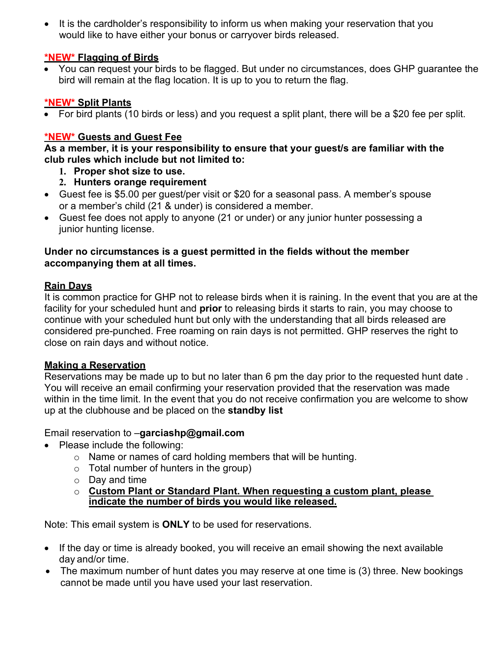• It is the cardholder's responsibility to inform us when making your reservation that you would like to have either your bonus or carryover birds released.

#### **\*NEW\* Flagging of Birds**

• You can request your birds to be flagged. But under no circumstances, does GHP guarantee the bird will remain at the flag location. It is up to you to return the flag.

#### **\*NEW\* Split Plants**

• For bird plants (10 birds or less) and you request a split plant, there will be a \$20 fee per split.

#### **\*NEW\* Guests and Guest Fee**

**As a member, it is your responsibility to ensure that your guest/s are familiar with the club rules which include but not limited to:**

- **1. Proper shot size to use.**
- **2. Hunters orange requirement**
- Guest fee is \$5.00 per guest/per visit or \$20 for a seasonal pass. A member's spouse or a member's child (21 & under) is considered a member.
- Guest fee does not apply to anyone (21 or under) or any junior hunter possessing a junior hunting license.

#### **Under no circumstances is a guest permitted in the fields without the member accompanying them at all times.**

#### **Rain Days**

It is common practice for GHP not to release birds when it is raining. In the event that you are at the facility for your scheduled hunt and **prior** to releasing birds it starts to rain, you may choose to continue with your scheduled hunt but only with the understanding that all birds released are considered pre-punched. Free roaming on rain days is not permitted. GHP reserves the right to close on rain days and without notice.

#### **Making a Reservation**

Reservations may be made up to but no later than 6 pm the day prior to the requested hunt date . You will receive an email confirming your reservation provided that the reservation was made within in the time limit. In the event that you do not receive confirmation you are welcome to show up at the clubhouse and be placed on the **standby list**

## Email reservation to –**[garciashp@gmail.com](mailto:garciashp@gmail.com)**

- Please include the following:
	- o Name or names of card holding members that will be hunting.
	- $\circ$  Total number of hunters in the group)
	- o Day and time
	- o **Custom Plant or Standard Plant. When requesting a custom plant, please indicate the number of birds you would like released.**

Note: This email system is **ONLY** to be used for reservations.

- If the day or time is already booked, you will receive an email showing the next available day and/or time.
- The maximum number of hunt dates you may reserve at one time is (3) three. New bookings cannot be made until you have used your last reservation.